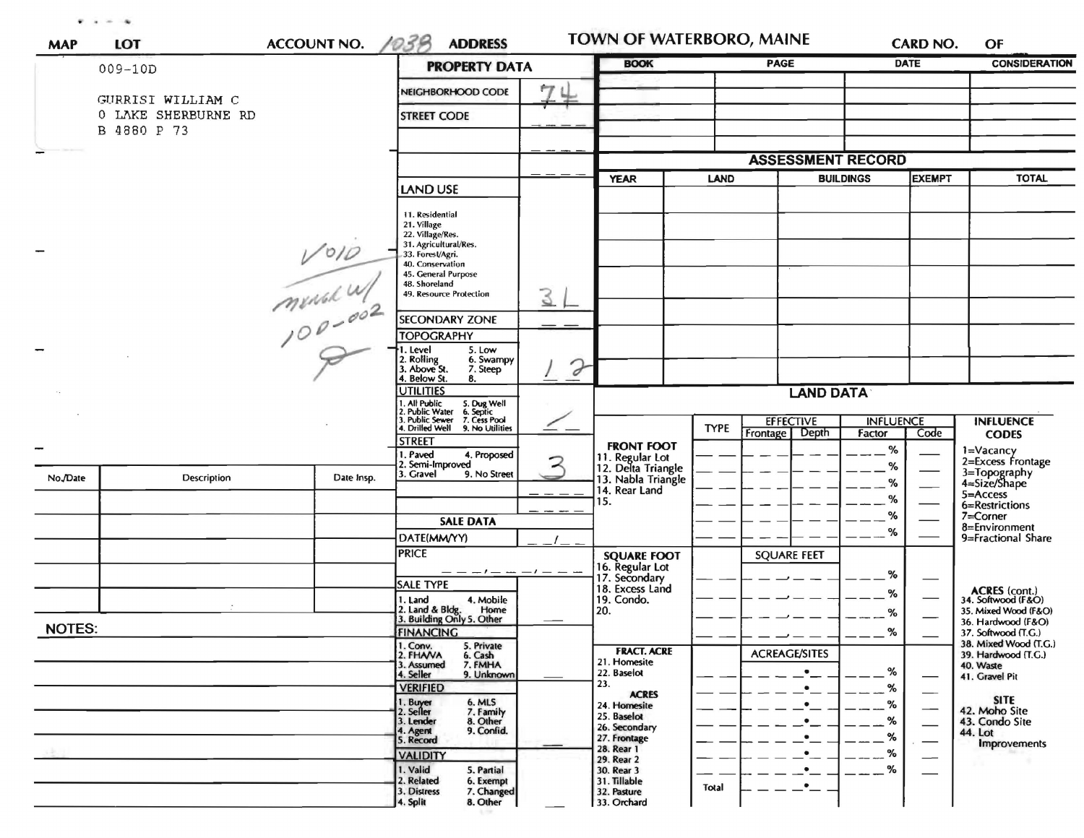$\mathbf{r}$  ,  $\mathbf{r}$  ,  $\mathbf{q}$ 

| <b>MAP</b>    | <b>LOT</b>                         | <b>ACCOUNT NO.</b>     | 1038<br><b>ADDRESS</b>                                                                                                                                                                                                                                                                                         | <b>TOWN OF WATERBORO, MAINE</b> |                                                                                                                                                        |             |                                                                               | <b>CARD NO.</b>            | OF                          |                                                                                                                                                 |
|---------------|------------------------------------|------------------------|----------------------------------------------------------------------------------------------------------------------------------------------------------------------------------------------------------------------------------------------------------------------------------------------------------------|---------------------------------|--------------------------------------------------------------------------------------------------------------------------------------------------------|-------------|-------------------------------------------------------------------------------|----------------------------|-----------------------------|-------------------------------------------------------------------------------------------------------------------------------------------------|
|               | $009 - 10D$                        |                        | <b>PROPERTY DATA</b>                                                                                                                                                                                                                                                                                           |                                 | <b>BOOK</b>                                                                                                                                            |             | PAGE                                                                          |                            | <b>DATE</b>                 | <b>CONSIDERATION</b>                                                                                                                            |
|               | GURRISI WILLIAM C                  |                        | NEIGHBORHOOD CODE                                                                                                                                                                                                                                                                                              | 74                              |                                                                                                                                                        |             |                                                                               |                            |                             |                                                                                                                                                 |
|               | 0 LAKE SHERBURNE RD<br>B 4880 P 73 |                        | <b>STREET CODE</b>                                                                                                                                                                                                                                                                                             |                                 |                                                                                                                                                        |             |                                                                               |                            |                             |                                                                                                                                                 |
|               |                                    |                        |                                                                                                                                                                                                                                                                                                                |                                 |                                                                                                                                                        |             |                                                                               |                            |                             |                                                                                                                                                 |
|               |                                    |                        |                                                                                                                                                                                                                                                                                                                |                                 |                                                                                                                                                        |             |                                                                               | <b>ASSESSMENT RECORD</b>   |                             |                                                                                                                                                 |
|               |                                    |                        | <b>LAND USE</b>                                                                                                                                                                                                                                                                                                |                                 | <b>YEAR</b><br><b>LAND</b>                                                                                                                             |             |                                                                               | <b>BUILDINGS</b>           |                             | <b>TOTAL</b>                                                                                                                                    |
|               |                                    | $V^{010}$<br>mensk $W$ | 11. Residential<br>21. Village<br>22. Village/Res.<br>31. Agricultural/Res.<br>33. Forest/Agri.<br>40. Conservation<br>45. General Purpose<br>48. Shoreland<br>49. Resource Protection<br><b>SECONDARY ZONE</b><br><b>TOPOGRAPHY</b><br>5. Low<br>Level<br>2. Rolling<br>3. Above St.<br>6. Swampy<br>7. Steep | 3<br>$\mathcal P$               |                                                                                                                                                        |             |                                                                               |                            |                             |                                                                                                                                                 |
|               |                                    |                        | Below St.<br>8.<br><b>JTILITIES</b>                                                                                                                                                                                                                                                                            |                                 |                                                                                                                                                        |             | <b>LAND DATA</b>                                                              |                            |                             |                                                                                                                                                 |
|               |                                    |                        | . All Public<br>. Public Water<br>. Public Sewer<br>5. Dug Well<br>6. Septic<br>7. Cess Pool<br>Drilled Well 9. No Utilities                                                                                                                                                                                   |                                 |                                                                                                                                                        | <b>TYPE</b> | <b>EFFECTIVE</b>                                                              | <b>INFLUENCE</b>           |                             | <b>INFLUENCE</b>                                                                                                                                |
|               |                                    |                        | <b>STREET</b>                                                                                                                                                                                                                                                                                                  |                                 | <b>FRONT FOOT</b>                                                                                                                                      |             | Frontage   Depth                                                              | Factor<br>%                | Code                        | <b>CODES</b>                                                                                                                                    |
| No./Date      | Description                        | Date Insp.             | . Paved<br>4. Proposed<br>2. Semi-Improved<br>3. Gravel<br>9. No Street<br><b>SALE DATA</b><br>DATE(MM/YY)                                                                                                                                                                                                     |                                 | 11. Regular Lot<br>12. Delta Triangle<br>13. Nabla Triangle<br>14. Rear Land<br>15.                                                                    |             |                                                                               | %<br>%<br>%<br>%<br>%      |                             | 1=Vacancy<br>2=Excess Frontage<br>3=Topography<br>4=Size/Shape<br>5=Access<br>6=Restrictions<br>7=Corner<br>8=Environment<br>9=Fractional Share |
|               |                                    |                        | <b>PRICE</b>                                                                                                                                                                                                                                                                                                   |                                 | <b>SQUARE FOOT</b>                                                                                                                                     |             | <b>SQUARE FEET</b>                                                            |                            |                             |                                                                                                                                                 |
|               |                                    |                        | - - - ! - - - ! -<br><b>SALE TYPE</b><br>1. Land<br>4. Mobile<br>2. Land & Bldg.<br>Home<br>3. Building Only 5. Other                                                                                                                                                                                          |                                 | 16. Regular Lot<br>17. Secondary<br>18. Excess Land<br>19. Condo.<br>20.                                                                               |             |                                                                               | %<br>%<br>%                |                             | ACRES (cont.)<br>34. Softwood (F&O)<br>35. Mixed Wood (F&O)<br>36. Hardwood (F&O)                                                               |
| <b>NOTES:</b> |                                    |                        | <b>FINANCING</b><br>5. Private                                                                                                                                                                                                                                                                                 |                                 |                                                                                                                                                        |             |                                                                               | %                          |                             | 37. Softwood (T.G.)<br>38. Mixed Wood (T.G.)                                                                                                    |
|               |                                    |                        | 1. Conv.<br>2. FHANA<br>6. Cash<br>3. Assumed<br>7. FMHA<br>4. Seller<br>9. Unknown<br><b>VERIFIED</b><br>1. Buyer<br>2. Seller<br>6. MLS<br>7. Family<br>8. Other<br>3. Lender<br>9. Confid.<br>4. Agent<br>5. Record                                                                                         |                                 | <b>FRACT. ACRE</b><br>21. Homesite<br>22. Baselot<br>23.<br><b>ACRES</b><br>24. Homesite<br>25. Baselot<br>26. Secondary<br>27. Frontage<br>28. Rear 1 |             | <b>ACREAGE/SITES</b><br>٠<br>$\bullet$<br>$\bullet$<br>$\bullet$<br>$\bullet$ | %<br>%<br>%<br>%<br>%<br>% | $\overbrace{\hspace{15em}}$ | 39. Hardwood (T.G.)<br>40. Waste<br>41. Gravel Pit<br><b>SITE</b><br>42. Moho Site<br>43. Condo Site<br>44. Lot<br><b>Improvements</b>          |
|               |                                    |                        | <b>VALIDITY</b><br>1. Valid<br>5. Partial<br>2. Related<br>6. Exempt<br>3. Distress<br>7. Changed<br>4. Split<br>8. Other                                                                                                                                                                                      |                                 | 29. Rear 2<br>30. Rear 3<br>31. Tillable<br>32. Pasture<br>33. Orchard                                                                                 | Total       | $\bullet$ $\_$<br>$\bullet$ $\_$                                              | %                          | -                           |                                                                                                                                                 |